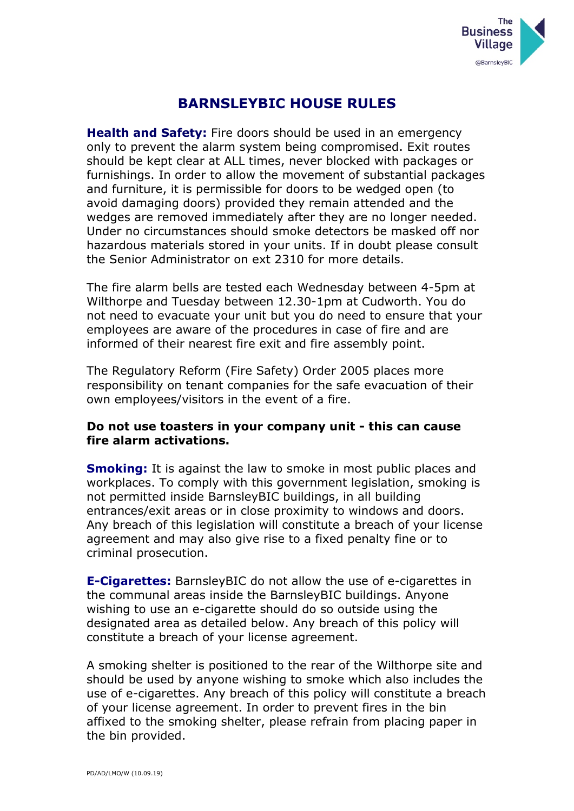

## **BARNSLEYBIC HOUSE RULES**

**Health and Safety:** Fire doors should be used in an emergency only to prevent the alarm system being compromised. Exit routes should be kept clear at ALL times, never blocked with packages or furnishings. In order to allow the movement of substantial packages and furniture, it is permissible for doors to be wedged open (to avoid damaging doors) provided they remain attended and the wedges are removed immediately after they are no longer needed. Under no circumstances should smoke detectors be masked off nor hazardous materials stored in your units. If in doubt please consult the Senior Administrator on ext 2310 for more details.

The fire alarm bells are tested each Wednesday between 4-5pm at Wilthorpe and Tuesday between 12.30-1pm at Cudworth. You do not need to evacuate your unit but you do need to ensure that your employees are aware of the procedures in case of fire and are informed of their nearest fire exit and fire assembly point.

The Regulatory Reform (Fire Safety) Order 2005 places more responsibility on tenant companies for the safe evacuation of their own employees/visitors in the event of a fire.

## **Do not use toasters in your company unit - this can cause fire alarm activations.**

**Smoking:** It is against the law to smoke in most public places and workplaces. To comply with this government legislation, smoking is not permitted inside BarnsleyBIC buildings, in all building entrances/exit areas or in close proximity to windows and doors. Any breach of this legislation will constitute a breach of your license agreement and may also give rise to a fixed penalty fine or to criminal prosecution.

**E-Cigarettes:** BarnsleyBIC do not allow the use of e-cigarettes in the communal areas inside the BarnsleyBIC buildings. Anyone wishing to use an e-cigarette should do so outside using the designated area as detailed below. Any breach of this policy will constitute a breach of your license agreement.

A smoking shelter is positioned to the rear of the Wilthorpe site and should be used by anyone wishing to smoke which also includes the use of e-cigarettes. Any breach of this policy will constitute a breach of your license agreement. In order to prevent fires in the bin affixed to the smoking shelter, please refrain from placing paper in the bin provided.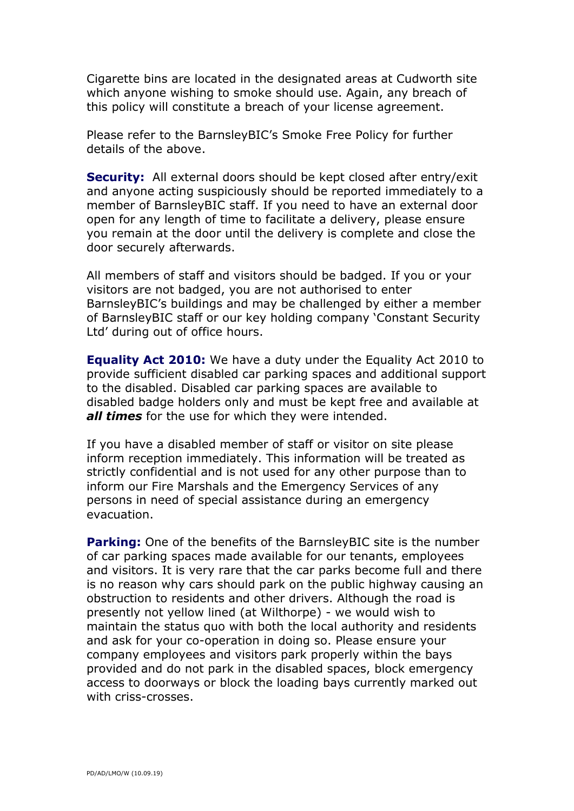Cigarette bins are located in the designated areas at Cudworth site which anyone wishing to smoke should use. Again, any breach of this policy will constitute a breach of your license agreement.

Please refer to the BarnsleyBIC's Smoke Free Policy for further details of the above.

**Security:** All external doors should be kept closed after entry/exit and anyone acting suspiciously should be reported immediately to a member of BarnsleyBIC staff. If you need to have an external door open for any length of time to facilitate a delivery, please ensure you remain at the door until the delivery is complete and close the door securely afterwards.

All members of staff and visitors should be badged. If you or your visitors are not badged, you are not authorised to enter BarnsleyBIC's buildings and may be challenged by either a member of BarnsleyBIC staff or our key holding company 'Constant Security Ltd' during out of office hours.

**Equality Act 2010:** We have a duty under the Equality Act 2010 to provide sufficient disabled car parking spaces and additional support to the disabled. Disabled car parking spaces are available to disabled badge holders only and must be kept free and available at *all times* for the use for which they were intended.

If you have a disabled member of staff or visitor on site please inform reception immediately. This information will be treated as strictly confidential and is not used for any other purpose than to inform our Fire Marshals and the Emergency Services of any persons in need of special assistance during an emergency evacuation.

**Parking:** One of the benefits of the BarnsleyBIC site is the number of car parking spaces made available for our tenants, employees and visitors. It is very rare that the car parks become full and there is no reason why cars should park on the public highway causing an obstruction to residents and other drivers. Although the road is presently not yellow lined (at Wilthorpe) - we would wish to maintain the status quo with both the local authority and residents and ask for your co-operation in doing so. Please ensure your company employees and visitors park properly within the bays provided and do not park in the disabled spaces, block emergency access to doorways or block the loading bays currently marked out with criss-crosses.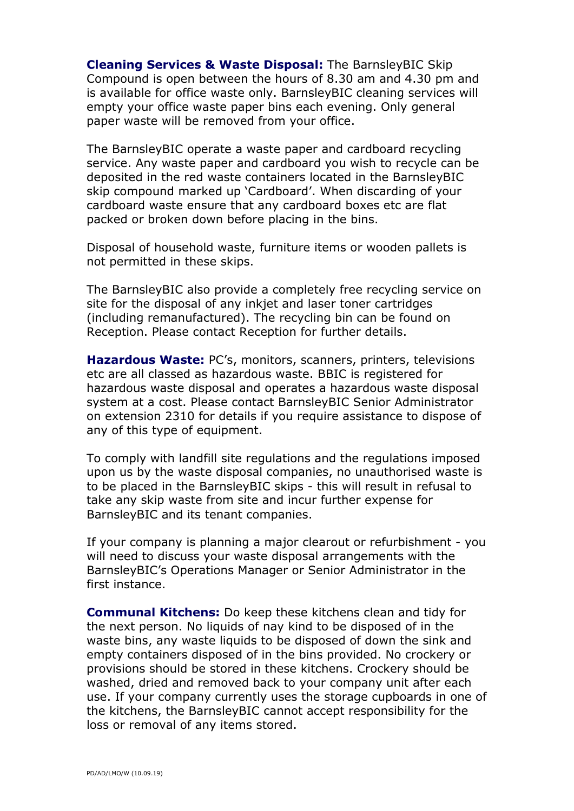**Cleaning Services & Waste Disposal:** The BarnsleyBIC Skip Compound is open between the hours of 8.30 am and 4.30 pm and is available for office waste only. BarnsleyBIC cleaning services will empty your office waste paper bins each evening. Only general paper waste will be removed from your office.

The BarnsleyBIC operate a waste paper and cardboard recycling service. Any waste paper and cardboard you wish to recycle can be deposited in the red waste containers located in the BarnsleyBIC skip compound marked up 'Cardboard'. When discarding of your cardboard waste ensure that any cardboard boxes etc are flat packed or broken down before placing in the bins.

Disposal of household waste, furniture items or wooden pallets is not permitted in these skips.

The BarnsleyBIC also provide a completely free recycling service on site for the disposal of any inkjet and laser toner cartridges (including remanufactured). The recycling bin can be found on Reception. Please contact Reception for further details.

**Hazardous Waste:** PC's, monitors, scanners, printers, televisions etc are all classed as hazardous waste. BBIC is registered for hazardous waste disposal and operates a hazardous waste disposal system at a cost. Please contact BarnsleyBIC Senior Administrator on extension 2310 for details if you require assistance to dispose of any of this type of equipment.

To comply with landfill site regulations and the regulations imposed upon us by the waste disposal companies, no unauthorised waste is to be placed in the BarnsleyBIC skips - this will result in refusal to take any skip waste from site and incur further expense for BarnsleyBIC and its tenant companies.

If your company is planning a major clearout or refurbishment - you will need to discuss your waste disposal arrangements with the BarnsleyBIC's Operations Manager or Senior Administrator in the first instance.

**Communal Kitchens:** Do keep these kitchens clean and tidy for the next person. No liquids of nay kind to be disposed of in the waste bins, any waste liquids to be disposed of down the sink and empty containers disposed of in the bins provided. No crockery or provisions should be stored in these kitchens. Crockery should be washed, dried and removed back to your company unit after each use. If your company currently uses the storage cupboards in one of the kitchens, the BarnsleyBIC cannot accept responsibility for the loss or removal of any items stored.